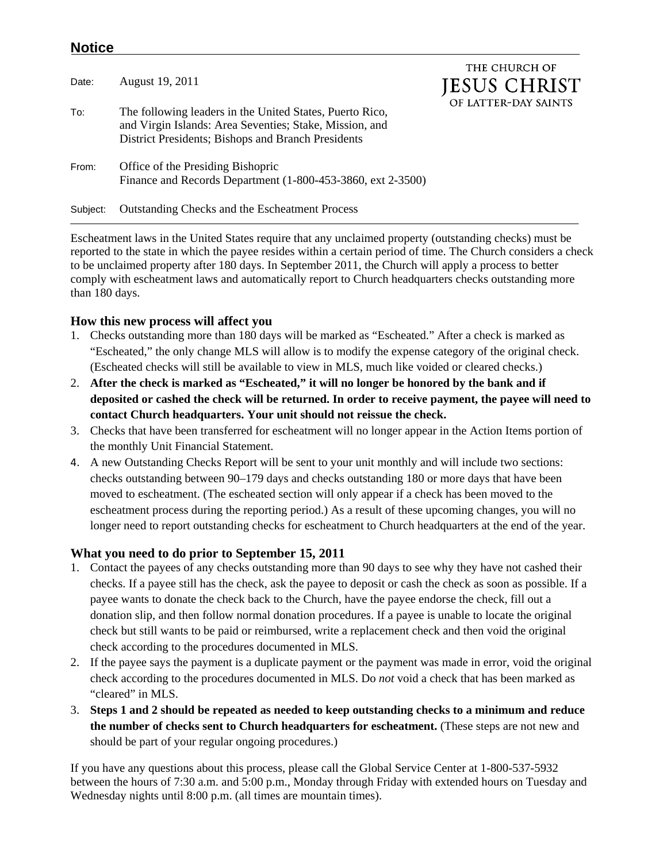## **Notice**

|          |                                                                                                                                                                           | THE CHURCH OF        |
|----------|---------------------------------------------------------------------------------------------------------------------------------------------------------------------------|----------------------|
| Date:    | August 19, 2011                                                                                                                                                           | <b>JESUS CHRIST</b>  |
| To:      | The following leaders in the United States, Puerto Rico,<br>and Virgin Islands: Area Seventies; Stake, Mission, and<br>District Presidents; Bishops and Branch Presidents | OF LATTER-DAY SAINTS |
| From:    | Office of the Presiding Bishopric<br>Finance and Records Department (1-800-453-3860, ext 2-3500)                                                                          |                      |
| Subject: | <b>Outstanding Checks and the Escheatment Process</b>                                                                                                                     |                      |

Escheatment laws in the United States require that any unclaimed property (outstanding checks) must be reported to the state in which the payee resides within a certain period of time. The Church considers a check to be unclaimed property after 180 days. In September 2011, the Church will apply a process to better comply with escheatment laws and automatically report to Church headquarters checks outstanding more than 180 days.

## **How this new process will affect you**

- 1. Checks outstanding more than 180 days will be marked as "Escheated." After a check is marked as "Escheated," the only change MLS will allow is to modify the expense category of the original check. (Escheated checks will still be available to view in MLS, much like voided or cleared checks.)
- 2. **After the check is marked as "Escheated," it will no longer be honored by the bank and if deposited or cashed the check will be returned. In order to receive payment, the payee will need to contact Church headquarters. Your unit should not reissue the check.**
- 3. Checks that have been transferred for escheatment will no longer appear in the Action Items portion of the monthly Unit Financial Statement.
- 4. A new Outstanding Checks Report will be sent to your unit monthly and will include two sections: checks outstanding between 90–179 days and checks outstanding 180 or more days that have been moved to escheatment. (The escheated section will only appear if a check has been moved to the escheatment process during the reporting period.) As a result of these upcoming changes, you will no longer need to report outstanding checks for escheatment to Church headquarters at the end of the year.

## **What you need to do prior to September 15, 2011**

- 1. Contact the payees of any checks outstanding more than 90 days to see why they have not cashed their checks. If a payee still has the check, ask the payee to deposit or cash the check as soon as possible. If a payee wants to donate the check back to the Church, have the payee endorse the check, fill out a donation slip, and then follow normal donation procedures. If a payee is unable to locate the original check but still wants to be paid or reimbursed, write a replacement check and then void the original check according to the procedures documented in MLS.
- 2. If the payee says the payment is a duplicate payment or the payment was made in error, void the original check according to the procedures documented in MLS. Do *not* void a check that has been marked as "cleared" in MLS.
- 3. **Steps 1 and 2 should be repeated as needed to keep outstanding checks to a minimum and reduce the number of checks sent to Church headquarters for escheatment.** (These steps are not new and should be part of your regular ongoing procedures.)

If you have any questions about this process, please call the Global Service Center at 1-800-537-5932 between the hours of 7:30 a.m. and 5:00 p.m., Monday through Friday with extended hours on Tuesday and Wednesday nights until 8:00 p.m. (all times are mountain times).